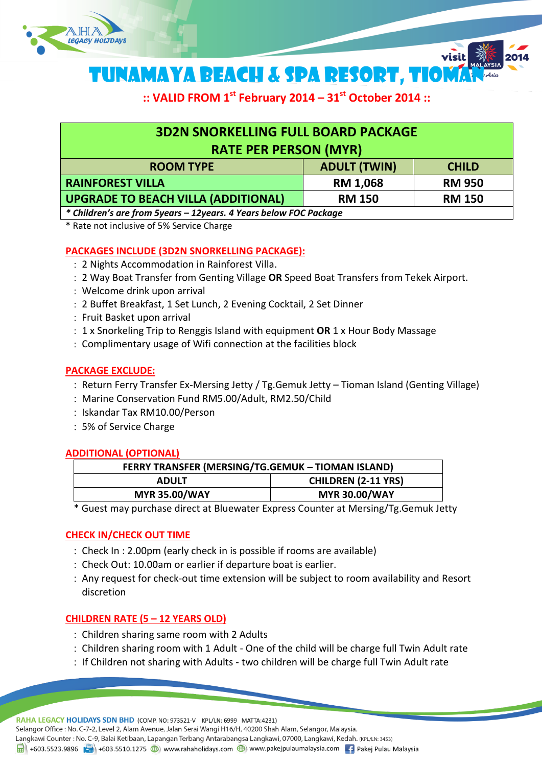

TUNAMAYA BEACH & SPA RESORT, TIOM

**:: VALID FROM 1 st February 2014 – 31st October 2014 ::**

visit

| <b>3D2N SNORKELLING FULL BOARD PACKAGE</b>                     |                     |               |
|----------------------------------------------------------------|---------------------|---------------|
| <b>RATE PER PERSON (MYR)</b>                                   |                     |               |
| <b>ROOM TYPE</b>                                               | <b>ADULT (TWIN)</b> | <b>CHILD</b>  |
| <b>RAINFOREST VILLA</b>                                        | <b>RM 1,068</b>     | <b>RM 950</b> |
| <b>UPGRADE TO BEACH VILLA (ADDITIONAL)</b>                     | <b>RM 150</b>       | <b>RM 150</b> |
| * Children's and from Friend Advenue AVenue holen. FOC Bushave |                     |               |

*\* Children's are from 5years – 12years. 4 Years below FOC Package*

\* Rate not inclusive of 5% Service Charge

# **PACKAGES INCLUDE (3D2N SNORKELLING PACKAGE):**

- 2 Nights Accommodation in Rainforest Villa.
- 2 Way Boat Transfer from Genting Village **OR** Speed Boat Transfers from Tekek Airport.
- Welcome drink upon arrival
- 2 Buffet Breakfast, 1 Set Lunch, 2 Evening Cocktail, 2 Set Dinner
- Fruit Basket upon arrival
- 1 x Snorkeling Trip to Renggis Island with equipment **OR** 1 x Hour Body Massage
- Complimentary usage of Wifi connection at the facilities block

### **PACKAGE EXCLUDE:**

- : Return Ferry Transfer Ex-Mersing Jetty / Tg.Gemuk Jetty Tioman Island (Genting Village)
- Marine Conservation Fund RM5.00/Adult, RM2.50/Child
- : Iskandar Tax RM10.00/Person
- 5% of Service Charge

### **ADDITIONAL (OPTIONAL)**

| FERRY TRANSFER (MERSING/TG.GEMUK - TIOMAN ISLAND) |                            |  |
|---------------------------------------------------|----------------------------|--|
| <b>ADULT</b>                                      | <b>CHILDREN (2-11 YRS)</b> |  |
| <b>MYR 35.00/WAY</b>                              | <b>MYR 30.00/WAY</b>       |  |

\* Guest may purchase direct at Bluewater Express Counter at Mersing/Tg.Gemuk Jetty

# **CHECK IN/CHECK OUT TIME**

- Check In : 2.00pm (early check in is possible if rooms are available)
- Check Out: 10.00am or earlier if departure boat is earlier.
- Any request for check-out time extension will be subject to room availability and Resort discretion

# **CHILDREN RATE (5 – 12 YEARS OLD)**

- Children sharing same room with 2 Adults
- Children sharing room with 1 Adult One of the child will be charge full Twin Adult rate
- : If Children not sharing with Adults two children will be charge full Twin Adult rate

RAHA LEGACY HOLIDAYS SDN BHD (COMP. NO: 973521-V KPL/LN: 6999 MATTA:4231) Selangor Office: No. C-7-2, Level 2, Alam Avenue, Jalan Serai Wangi H16/H, 40200 Shah Alam, Selangor, Malaysia. Langkawi Counter: No. C-9, Balai Ketibaan, Lapangan Terbang Antarabangsa Langkawi, 07000, Langkawi, Kedah. (KPL/LN: 3453) 1 +603.5523.9896 + +603.5510.1275 (b) www.rahaholidays.com (b) www.pakejpulaumalaysia.com + Pakej Pulau Malaysia